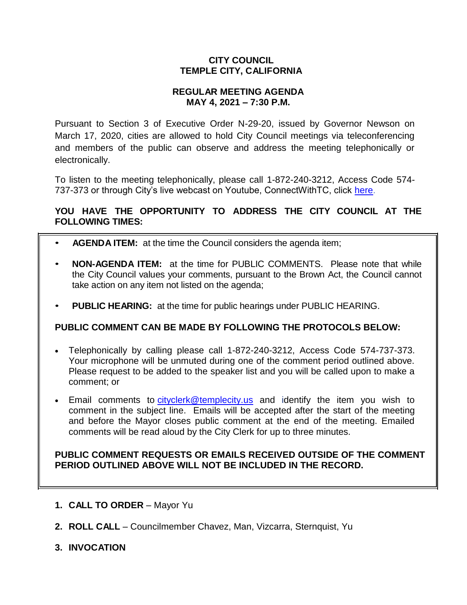# **CITY COUNCIL TEMPLE CITY, CALIFORNIA**

## **REGULAR MEETING AGENDA MAY 4, 2021 – 7:30 P.M.**

Pursuant to Section 3 of Executive Order N-29-20, issued by Governor Newson on March 17, 2020, cities are allowed to hold City Council meetings via teleconferencing and members of the public can observe and address the meeting telephonically or electronically.

To listen to the meeting telephonically, please call 1-872-240-3212, Access Code 574 737-373 or through City's live webcast on Youtube, ConnectWithTC, click [here.](https://www.ci.temple-city.ca.us/516/Meeting-Webcast)

# **YOU HAVE THE OPPORTUNITY TO ADDRESS THE CITY COUNCIL AT THE FOLLOWING TIMES:**

- **AGENDA ITEM:** at the time the Council considers the agenda item;
- **NON-AGENDA ITEM:** at the time for PUBLIC COMMENTS. Please note that while the City Council values your comments, pursuant to the Brown Act, the Council cannot take action on any item not listed on the agenda;
- **PUBLIC HEARING:** at the time for public hearings under PUBLIC HEARING.

# **PUBLIC COMMENT CAN BE MADE BY FOLLOWING THE PROTOCOLS BELOW:**

- Telephonically by calling please call 1-872-240-3212, Access Code 574-737-373. Your microphone will be unmuted during one of the comment period outlined above. Please request to be added to the speaker list and you will be called upon to make a comment; or
- Email comments to [cityclerk@templecity.us](mailto:cityclerk@templecity.us) and identify the item you wish to comment in the subject line. Emails will be accepted after the start of the meeting and before the Mayor closes public comment at the end of the meeting. Emailed comments will be read aloud by the City Clerk for up to three minutes.

### **PUBLIC COMMENT REQUESTS OR EMAILS RECEIVED OUTSIDE OF THE COMMENT PERIOD OUTLINED ABOVE WILL NOT BE INCLUDED IN THE RECORD.**

- **1. CALL TO ORDER**  Mayor Yu
- **2. ROLL CALL**  Councilmember Chavez, Man, Vizcarra, Sternquist, Yu
- **3. INVOCATION**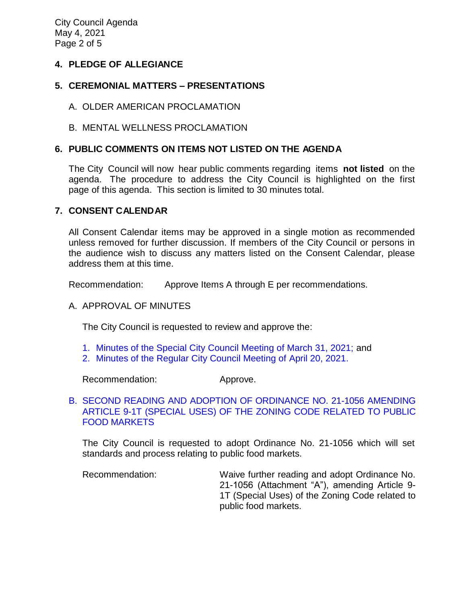City Council Agenda May 4, 2021 Page 2 of 5

## **4. PLEDGE OF ALLEGIANCE**

## **5. CEREMONIAL MATTERS – PRESENTATIONS**

- A. OLDER AMERICAN PROCLAMATION
- B. MENTAL WELLNESS PROCLAMATION

## **6. PUBLIC COMMENTS ON ITEMS NOT LISTED ON THE AGENDA**

The City Council will now hear public comments regarding items **not listed** on the agenda. The procedure to address the City Council is highlighted on the first page of this agenda. This section is limited to 30 minutes total.

### **7. CONSENT CALENDAR**

All Consent Calendar items may be approved in a single motion as recommended unless removed for further discussion. If members of the City Council or persons in the audience wish to discuss any matters listed on the Consent Calendar, please address them at this time.

Recommendation: Approve Items A through E per recommendations.

### A. APPROVAL OF MINUTES

The City Council is requested to review and approve the:

- 1. [Minutes of the Special City Council Meeting of March 31, 2021;](https://ca-templecity.civicplus.com/DocumentCenter/View/16204/CCM---2021-03-31-Sheriffs-Monthly) and
- 2. [Minutes of the Regular City Council Meeting of April 20, 2021.](https://ca-templecity.civicplus.com/DocumentCenter/View/16203/CCM---2021-04-20)

Recommendation: Approve.

## B. [SECOND READING AND ADOPTION OF ORDINANCE NO. 21-1056 AMENDING](https://ca-templecity.civicplus.com/DocumentCenter/View/16200/7B_Public-Food-Market_Staff-Report-for-Ordinance-21-1056-true_final-w-attachments)  [ARTICLE 9-1T \(SPECIAL USES\) OF THE ZONING CODE RELATED](https://ca-templecity.civicplus.com/DocumentCenter/View/16200/7B_Public-Food-Market_Staff-Report-for-Ordinance-21-1056-true_final-w-attachments) TO PUBLIC [FOOD MARKETS](https://ca-templecity.civicplus.com/DocumentCenter/View/16200/7B_Public-Food-Market_Staff-Report-for-Ordinance-21-1056-true_final-w-attachments)

The City Council is requested to adopt Ordinance No. 21-1056 which will set standards and process relating to public food markets.

Recommendation: Waive further reading and adopt Ordinance No. 21-1056 (Attachment "A"), amending Article 9- 1T (Special Uses) of the Zoning Code related to public food markets.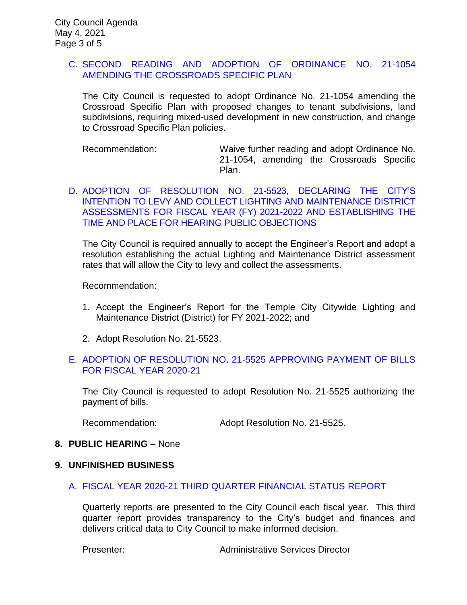### C. [SECOND READING AND ADOPTION OF ORDINANCE NO. 21-1054](https://ca-templecity.civicplus.com/DocumentCenter/View/16201/7C_CSP_Staff-Report-for-Ordinance-1054-CSP-v1-w-attachments)  [AMENDING THE CROSSROADS SPECIFIC PLAN](https://ca-templecity.civicplus.com/DocumentCenter/View/16201/7C_CSP_Staff-Report-for-Ordinance-1054-CSP-v1-w-attachments)

The City Council is requested to adopt Ordinance No. 21-1054 amending the Crossroad Specific Plan with proposed changes to tenant subdivisions, land subdivisions, requiring mixed-used development in new construction, and change to Crossroad Specific Plan policies.

Recommendation: Waive further reading and adopt Ordinance No. 21-1054, amending the Crossroads Specific Plan.

D. [ADOPTION OF RESOLUTION NO. 21-5523, DECLARING THE CITY'S](https://ca-templecity.civicplus.com/DocumentCenter/View/16202/7D_Engineers-Report_Staff-Report-LLD-Intention-to-Levy-Assessments_v3_final-w-attachments)  [INTENTION TO LEVY AND COLLECT LIGHTING AND MAINTENANCE DISTRICT](https://ca-templecity.civicplus.com/DocumentCenter/View/16202/7D_Engineers-Report_Staff-Report-LLD-Intention-to-Levy-Assessments_v3_final-w-attachments)  [ASSESSMENTS FOR FISCAL YEAR \(FY\) 2021-2022 AND ESTABLISHING THE](https://ca-templecity.civicplus.com/DocumentCenter/View/16202/7D_Engineers-Report_Staff-Report-LLD-Intention-to-Levy-Assessments_v3_final-w-attachments)  [TIME AND PLACE FOR HEARING PUBLIC OBJECTIONS](https://ca-templecity.civicplus.com/DocumentCenter/View/16202/7D_Engineers-Report_Staff-Report-LLD-Intention-to-Levy-Assessments_v3_final-w-attachments)

The City Council is required annually to accept the Engineer's Report and adopt a resolution establishing the actual Lighting and Maintenance District assessment rates that will allow the City to levy and collect the assessments.

Recommendation:

- 1. Accept the Engineer's Report for the Temple City Citywide Lighting and Maintenance District (District) for FY 2021-2022; and
- 2. Adopt Resolution No. 21-5523.

### E. [ADOPTION OF RESOLUTION NO. 21-5525](https://ca-templecity.civicplus.com/DocumentCenter/View/16207/7e_Reso-No-21-5525-050421---Warrants--Demands-FY-2020-2021---Copy) APPROVING PAYMENT OF BILLS [FOR FISCAL YEAR 2020-21](https://ca-templecity.civicplus.com/DocumentCenter/View/16207/7e_Reso-No-21-5525-050421---Warrants--Demands-FY-2020-2021---Copy)

The City Council is requested to adopt Resolution No. 21-5525 authorizing the payment of bills.

Recommendation: Adopt Resolution No. 21-5525.

#### **8. PUBLIC HEARING** – None

#### **9. UNFINISHED BUSINESS**

#### [A. FISCAL YEAR 2020-21 THIRD QUARTER FINANCIAL STATUS](https://ca-templecity.civicplus.com/DocumentCenter/View/16208/9A_3rd-Quarter-Financial-Report_Staff-Report-FY2021_v4-final-with-attachments) REPORT

Quarterly reports are presented to the City Council each fiscal year. This third quarter report provides transparency to the City's budget and finances and delivers critical data to City Council to make informed decision.

Presenter: Administrative Services Director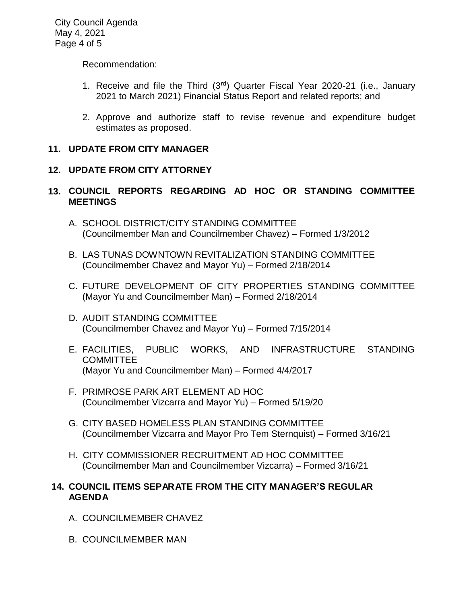City Council Agenda May 4, 2021 Page 4 of 5

Recommendation:

- 1. Receive and file the Third  $(3<sup>rd</sup>)$  Quarter Fiscal Year 2020-21 (i.e., January 2021 to March 2021) Financial Status Report and related reports; and
- 2. Approve and authorize staff to revise revenue and expenditure budget estimates as proposed.

## **11. UPDATE FROM CITY MANAGER**

# **12. UPDATE FROM CITY ATTORNEY**

- **13. COUNCIL REPORTS REGARDING AD HOC OR STANDING COMMITTEE MEETINGS**
	- A. SCHOOL DISTRICT/CITY STANDING COMMITTEE (Councilmember Man and Councilmember Chavez) – Formed 1/3/2012
	- B. LAS TUNAS DOWNTOWN REVITALIZATION STANDING COMMITTEE (Councilmember Chavez and Mayor Yu) – Formed 2/18/2014
	- C. FUTURE DEVELOPMENT OF CITY PROPERTIES STANDING COMMITTEE (Mayor Yu and Councilmember Man) – Formed 2/18/2014
	- D. AUDIT STANDING COMMITTEE (Councilmember Chavez and Mayor Yu) – Formed 7/15/2014
	- E. FACILITIES, PUBLIC WORKS, AND INFRASTRUCTURE STANDING COMMITTEE (Mayor Yu and Councilmember Man) – Formed 4/4/2017
	- F. PRIMROSE PARK ART ELEMENT AD HOC (Councilmember Vizcarra and Mayor Yu) – Formed 5/19/20
	- G. CITY BASED HOMELESS PLAN STANDING COMMITTEE (Councilmember Vizcarra and Mayor Pro Tem Sternquist) – Formed 3/16/21
	- H. CITY COMMISSIONER RECRUITMENT AD HOC COMMITTEE (Councilmember Man and Councilmember Vizcarra) – Formed 3/16/21

### **14. COUNCIL ITEMS SEPARATE FROM THE CITY MANAGER'S REGULAR AGENDA**

- A. COUNCILMEMBER CHAVEZ
- B. COUNCILMEMBER MAN